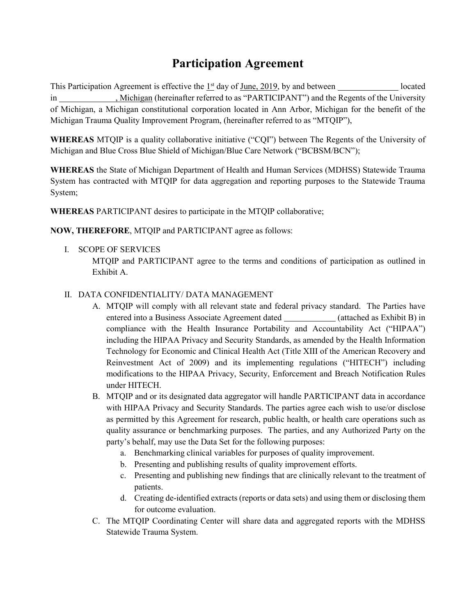# **Participation Agreement**

This Participation Agreement is effective the  $1<sup>st</sup>$  day of June, 2019, by and between located , Michigan (hereinafter referred to as "PARTICIPANT") and the Regents of the University of Michigan, a Michigan constitutional corporation located in Ann Arbor, Michigan for the benefit of the Michigan Trauma Quality Improvement Program, (hereinafter referred to as "MTQIP"),

**WHEREAS** MTQIP is a quality collaborative initiative ("CQI") between The Regents of the University of Michigan and Blue Cross Blue Shield of Michigan/Blue Care Network ("BCBSM/BCN");

**WHEREAS** the State of Michigan Department of Health and Human Services (MDHSS) Statewide Trauma System has contracted with MTQIP for data aggregation and reporting purposes to the Statewide Trauma System;

**WHEREAS** PARTICIPANT desires to participate in the MTQIP collaborative;

**NOW, THEREFORE**, MTQIP and PARTICIPANT agree as follows:

- I. SCOPE OF SERVICES
	- MTQIP and PARTICIPANT agree to the terms and conditions of participation as outlined in Exhibit A.

# II. DATA CONFIDENTIALITY/ DATA MANAGEMENT

- A. MTQIP will comply with all relevant state and federal privacy standard. The Parties have entered into a Business Associate Agreement dated (attached as Exhibit B) in compliance with the Health Insurance Portability and Accountability Act ("HIPAA") including the HIPAA Privacy and Security Standards, as amended by the Health Information Technology for Economic and Clinical Health Act (Title XIII of the American Recovery and Reinvestment Act of 2009) and its implementing regulations ("HITECH") including modifications to the HIPAA Privacy, Security, Enforcement and Breach Notification Rules under HITECH.
- B. MTQIP and or its designated data aggregator will handle PARTICIPANT data in accordance with HIPAA Privacy and Security Standards. The parties agree each wish to use/or disclose as permitted by this Agreement for research, public health, or health care operations such as quality assurance or benchmarking purposes. The parties, and any Authorized Party on the party's behalf, may use the Data Set for the following purposes:
	- a. Benchmarking clinical variables for purposes of quality improvement.
	- b. Presenting and publishing results of quality improvement efforts.
	- c. Presenting and publishing new findings that are clinically relevant to the treatment of patients.
	- d. Creating de-identified extracts (reports or data sets) and using them or disclosing them for outcome evaluation.
- C. The MTQIP Coordinating Center will share data and aggregated reports with the MDHSS Statewide Trauma System.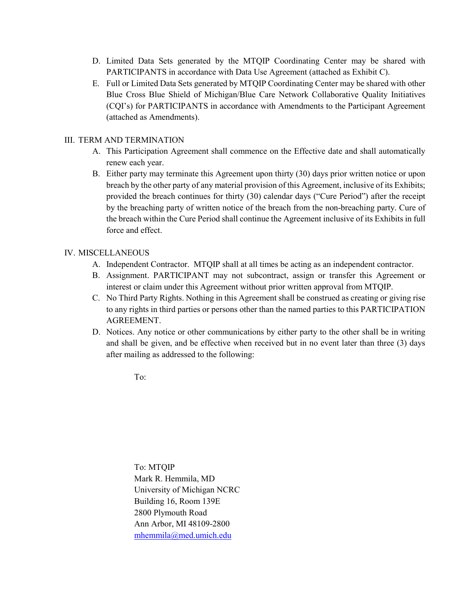- D. Limited Data Sets generated by the MTQIP Coordinating Center may be shared with PARTICIPANTS in accordance with Data Use Agreement (attached as Exhibit C).
- E. Full or Limited Data Sets generated by MTQIP Coordinating Center may be shared with other Blue Cross Blue Shield of Michigan/Blue Care Network Collaborative Quality Initiatives (CQI's) for PARTICIPANTS in accordance with Amendments to the Participant Agreement (attached as Amendments).

## III. TERM AND TERMINATION

- A. This Participation Agreement shall commence on the Effective date and shall automatically renew each year.
- B. Either party may terminate this Agreement upon thirty (30) days prior written notice or upon breach by the other party of any material provision of this Agreement, inclusive of its Exhibits; provided the breach continues for thirty (30) calendar days ("Cure Period") after the receipt by the breaching party of written notice of the breach from the non-breaching party. Cure of the breach within the Cure Period shall continue the Agreement inclusive of its Exhibits in full force and effect.

## IV. MISCELLANEOUS

- A. Independent Contractor. MTQIP shall at all times be acting as an independent contractor.
- B. Assignment. PARTICIPANT may not subcontract, assign or transfer this Agreement or interest or claim under this Agreement without prior written approval from MTQIP.
- C. No Third Party Rights. Nothing in this Agreement shall be construed as creating or giving rise to any rights in third parties or persons other than the named parties to this PARTICIPATION AGREEMENT.
- D. Notices. Any notice or other communications by either party to the other shall be in writing and shall be given, and be effective when received but in no event later than three (3) days after mailing as addressed to the following:

To:

To: MTQIP Mark R. Hemmila, MD University of Michigan NCRC Building 16, Room 139E 2800 Plymouth Road Ann Arbor, MI 48109-2800 [mhemmila@med.umich.edu](mailto:mhemmila@med.umich.edu)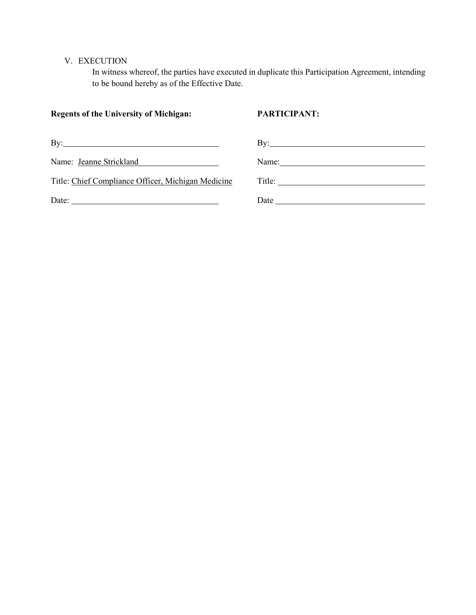## V. EXECUTION

In witness whereof, the parties have executed in duplicate this Participation Agreement, intending to be bound hereby as of the Effective Date.

| <b>Regents of the University of Michigan:</b>                      | <b>PARTICIPANT:</b>                                                                                                                                                                                                                                                                                                                                                                                                    |
|--------------------------------------------------------------------|------------------------------------------------------------------------------------------------------------------------------------------------------------------------------------------------------------------------------------------------------------------------------------------------------------------------------------------------------------------------------------------------------------------------|
| By: $\overline{\phantom{a}}$                                       | By: $\qquad \qquad$                                                                                                                                                                                                                                                                                                                                                                                                    |
| Name: Jeanne Strickland<br><u> 1989 - Johann Barbara, martxa a</u> | Name: $\frac{1}{\sqrt{1-\frac{1}{2}}}\left\{ \frac{1}{2}, \frac{1}{2}, \frac{1}{2}, \frac{1}{2}, \frac{1}{2}, \frac{1}{2}, \frac{1}{2}, \frac{1}{2}, \frac{1}{2}, \frac{1}{2}, \frac{1}{2}, \frac{1}{2}, \frac{1}{2}, \frac{1}{2}, \frac{1}{2}, \frac{1}{2}, \frac{1}{2}, \frac{1}{2}, \frac{1}{2}, \frac{1}{2}, \frac{1}{2}, \frac{1}{2}, \frac{1}{2}, \frac{1}{2}, \frac{1}{2}, \frac{1}{2}, \frac{1}{2}, \frac{1}{$ |
| Title: Chief Compliance Officer, Michigan Medicine                 |                                                                                                                                                                                                                                                                                                                                                                                                                        |
|                                                                    | Date has been as a series of the series of the series of the series of the series of the series of the series of the series of the series of the series of the series of the series of the series of the series of the series                                                                                                                                                                                          |
|                                                                    |                                                                                                                                                                                                                                                                                                                                                                                                                        |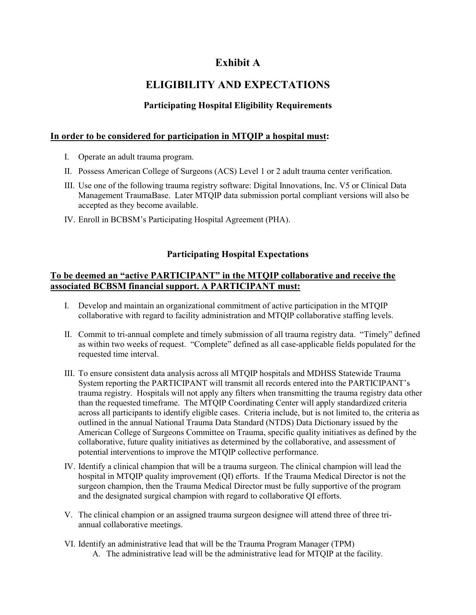# **Exhibit A**

# **ELIGIBILITY AND EXPECTATIONS**

# **Participating Hospital Eligibility Requirements**

## **In order to be considered for participation in MTQIP a hospital must:**

- I. Operate an adult trauma program.
- II. Possess American College of Surgeons (ACS) Level 1 or 2 adult trauma center verification.
- III. Use one of the following trauma registry software: Digital Innovations, Inc. V5 or Clinical Data Management TraumaBase. Later MTQIP data submission portal compliant versions will also be accepted as they become available.
- IV. Enroll in BCBSM's Participating Hospital Agreement (PHA).

# **Participating Hospital Expectations**

## **To be deemed an "active PARTICIPANT" in the MTQIP collaborative and receive the associated BCBSM financial support. A PARTICIPANT must:**

- I. Develop and maintain an organizational commitment of active participation in the MTQIP collaborative with regard to facility administration and MTQIP collaborative staffing levels.
- II. Commit to tri-annual complete and timely submission of all trauma registry data. "Timely" defined as within two weeks of request. "Complete" defined as all case-applicable fields populated for the requested time interval.
- III. To ensure consistent data analysis across all MTQIP hospitals and MDHSS Statewide Trauma System reporting the PARTICIPANT will transmit all records entered into the PARTICIPANT's trauma registry. Hospitals will not apply any filters when transmitting the trauma registry data other than the requested timeframe. The MTQIP Coordinating Center will apply standardized criteria across all participants to identify eligible cases. Criteria include, but is not limited to, the criteria as outlined in the annual National Trauma Data Standard (NTDS) Data Dictionary issued by the American College of Surgeons Committee on Trauma, specific quality initiatives as defined by the collaborative, future quality initiatives as determined by the collaborative, and assessment of potential interventions to improve the MTQIP collective performance.
- IV. Identify a clinical champion that will be a trauma surgeon. The clinical champion will lead the hospital in MTQIP quality improvement (QI) efforts. If the Trauma Medical Director is not the surgeon champion, then the Trauma Medical Director must be fully supportive of the program and the designated surgical champion with regard to collaborative QI efforts.
- V. The clinical champion or an assigned trauma surgeon designee will attend three of three triannual collaborative meetings.
- VI. Identify an administrative lead that will be the Trauma Program Manager (TPM) A. The administrative lead will be the administrative lead for MTQIP at the facility.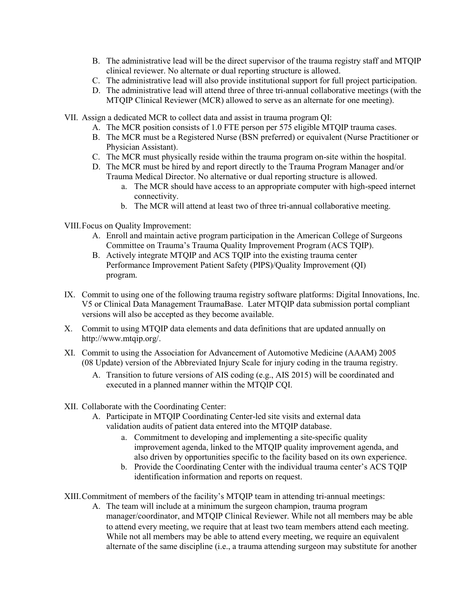- B. The administrative lead will be the direct supervisor of the trauma registry staff and MTQIP clinical reviewer. No alternate or dual reporting structure is allowed.
- C. The administrative lead will also provide institutional support for full project participation.
- D. The administrative lead will attend three of three tri-annual collaborative meetings (with the MTQIP Clinical Reviewer (MCR) allowed to serve as an alternate for one meeting).
- VII. Assign a dedicated MCR to collect data and assist in trauma program QI:
	- A. The MCR position consists of 1.0 FTE person per 575 eligible MTQIP trauma cases.
	- B. The MCR must be a Registered Nurse (BSN preferred) or equivalent (Nurse Practitioner or Physician Assistant).
	- C. The MCR must physically reside within the trauma program on-site within the hospital.
	- D. The MCR must be hired by and report directly to the Trauma Program Manager and/or Trauma Medical Director. No alternative or dual reporting structure is allowed.
		- a. The MCR should have access to an appropriate computer with high-speed internet connectivity.
		- b. The MCR will attend at least two of three tri-annual collaborative meeting.

VIII.Focus on Quality Improvement:

- A. Enroll and maintain active program participation in the American College of Surgeons Committee on Trauma's Trauma Quality Improvement Program (ACS TQIP).
- B. Actively integrate MTQIP and ACS TQIP into the existing trauma center Performance Improvement Patient Safety (PIPS)/Quality Improvement (QI) program.
- IX. Commit to using one of the following trauma registry software platforms: Digital Innovations, Inc. V5 or Clinical Data Management TraumaBase. Later MTQIP data submission portal compliant versions will also be accepted as they become available.
- X. Commit to using MTQIP data elements and data definitions that are updated annually on [http://www.mtqip.org/.](http://www.mtqip.org/)
- XI. Commit to using the Association for Advancement of Automotive Medicine (AAAM) 2005 (08 Update) version of the Abbreviated Injury Scale for injury coding in the trauma registry.
	- A. Transition to future versions of AIS coding (e.g., AIS 2015) will be coordinated and executed in a planned manner within the MTQIP CQI.
- XII. Collaborate with the Coordinating Center:
	- A. Participate in MTQIP Coordinating Center-led site visits and external data validation audits of patient data entered into the MTQIP database.
		- a. Commitment to developing and implementing a site-specific quality improvement agenda, linked to the MTQIP quality improvement agenda, and also driven by opportunities specific to the facility based on its own experience.
		- b. Provide the Coordinating Center with the individual trauma center's ACS TQIP identification information and reports on request.

XIII.Commitment of members of the facility's MTQIP team in attending tri-annual meetings:

A. The team will include at a minimum the surgeon champion, trauma program manager/coordinator, and MTQIP Clinical Reviewer. While not all members may be able to attend every meeting, we require that at least two team members attend each meeting. While not all members may be able to attend every meeting, we require an equivalent alternate of the same discipline (i.e., a trauma attending surgeon may substitute for another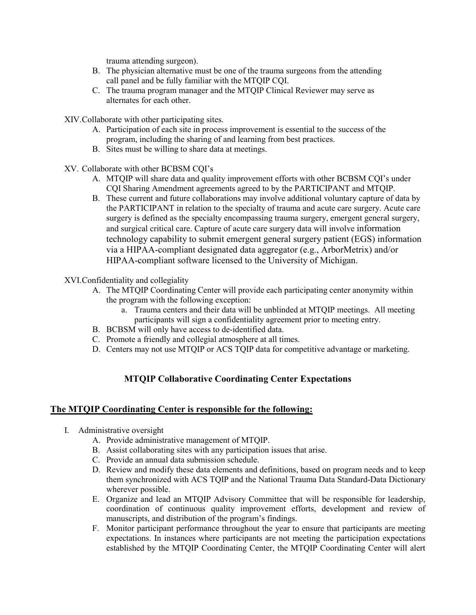trauma attending surgeon).

- B. The physician alternative must be one of the trauma surgeons from the attending call panel and be fully familiar with the MTQIP CQI.
- C. The trauma program manager and the MTQIP Clinical Reviewer may serve as alternates for each other.

XIV.Collaborate with other participating sites.

- A. Participation of each site in process improvement is essential to the success of the program, including the sharing of and learning from best practices.
- B. Sites must be willing to share data at meetings.
- XV. Collaborate with other BCBSM CQI's
	- A. MTQIP will share data and quality improvement efforts with other BCBSM CQI's under CQI Sharing Amendment agreements agreed to by the PARTICIPANT and MTQIP.
	- B. These current and future collaborations may involve additional voluntary capture of data by the PARTICIPANT in relation to the specialty of trauma and acute care surgery. Acute care surgery is defined as the specialty encompassing trauma surgery, emergent general surgery, and surgical critical care. Capture of acute care surgery data will involve information technology capability to submit emergent general surgery patient (EGS) information via a HIPAA-compliant designated data aggregator (e.g., ArborMetrix) and/or HIPAA-compliant software licensed to the University of Michigan.

XVI.Confidentiality and collegiality

- A. The MTQIP Coordinating Center will provide each participating center anonymity within the program with the following exception:
	- a. Trauma centers and their data will be unblinded at MTQIP meetings. All meeting participants will sign a confidentiality agreement prior to meeting entry.
- B. BCBSM will only have access to de-identified data.
- C. Promote a friendly and collegial atmosphere at all times.
- D. Centers may not use MTQIP or ACS TQIP data for competitive advantage or marketing.

# **MTQIP Collaborative Coordinating Center Expectations**

#### **The MTQIP Coordinating Center is responsible for the following:**

- I. Administrative oversight
	- A. Provide administrative management of MTQIP.
	- B. Assist collaborating sites with any participation issues that arise.
	- C. Provide an annual data submission schedule.
	- D. Review and modify these data elements and definitions, based on program needs and to keep them synchronized with ACS TQIP and the National Trauma Data Standard-Data Dictionary wherever possible.
	- E. Organize and lead an MTQIP Advisory Committee that will be responsible for leadership, coordination of continuous quality improvement efforts, development and review of manuscripts, and distribution of the program's findings.
	- F. Monitor participant performance throughout the year to ensure that participants are meeting expectations. In instances where participants are not meeting the participation expectations established by the MTQIP Coordinating Center, the MTQIP Coordinating Center will alert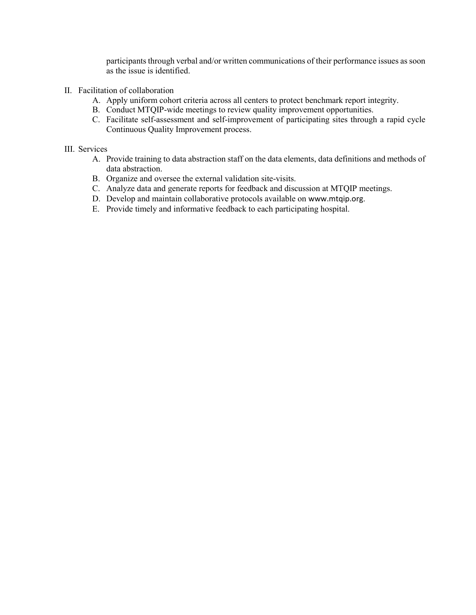participants through verbal and/or written communications of their performance issues as soon as the issue is identified.

- II. Facilitation of collaboration
	- A. Apply uniform cohort criteria across all centers to protect benchmark report integrity.
	- B. Conduct MTQIP-wide meetings to review quality improvement opportunities.
	- C. Facilitate self-assessment and self-improvement of participating sites through a rapid cycle Continuous Quality Improvement process.

#### III. Services

- A. Provide training to data abstraction staff on the data elements, data definitions and methods of data abstraction.
- B. Organize and oversee the external validation site-visits.
- C. Analyze data and generate reports for feedback and discussion at MTQIP meetings.
- D. Develop and maintain collaborative protocols available on [www.mtqip.org](http://www.mtqip.org/).
- E. Provide timely and informative feedback to each participating hospital.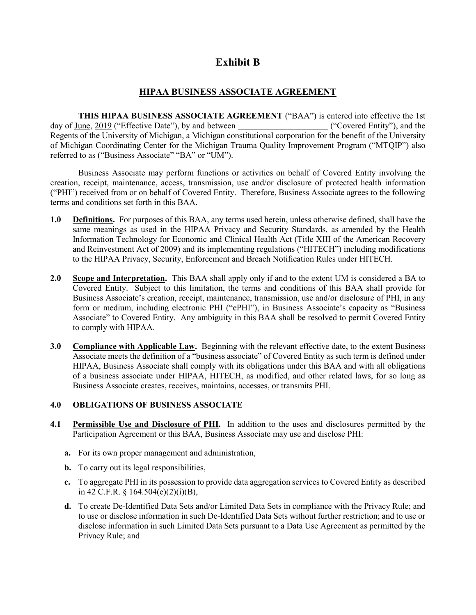# **Exhibit B**

# **HIPAA BUSINESS ASSOCIATE AGREEMENT**

**THIS HIPAA BUSINESS ASSOCIATE AGREEMENT** ("BAA") is entered into effective the 1st day of June, 2019 ("Effective Date"), by and between ("Covered Entity"), and the Regents of the University of Michigan, a Michigan constitutional corporation for the benefit of the University of Michigan Coordinating Center for the Michigan Trauma Quality Improvement Program ("MTQIP") also referred to as ("Business Associate" "BA" or "UM").

Business Associate may perform functions or activities on behalf of Covered Entity involving the creation, receipt, maintenance, access, transmission, use and/or disclosure of protected health information ("PHI") received from or on behalf of Covered Entity. Therefore, Business Associate agrees to the following terms and conditions set forth in this BAA.

- **1.0 Definitions.** For purposes of this BAA, any terms used herein, unless otherwise defined, shall have the same meanings as used in the HIPAA Privacy and Security Standards, as amended by the Health Information Technology for Economic and Clinical Health Act (Title XIII of the American Recovery and Reinvestment Act of 2009) and its implementing regulations ("HITECH") including modifications to the HIPAA Privacy, Security, Enforcement and Breach Notification Rules under HITECH.
- **2.0 Scope and Interpretation.** This BAA shall apply only if and to the extent UM is considered a BA to Covered Entity. Subject to this limitation, the terms and conditions of this BAA shall provide for Business Associate's creation, receipt, maintenance, transmission, use and/or disclosure of PHI, in any form or medium, including electronic PHI ("ePHI"), in Business Associate's capacity as "Business Associate" to Covered Entity. Any ambiguity in this BAA shall be resolved to permit Covered Entity to comply with HIPAA.
- **3.0 Compliance with Applicable Law.** Beginning with the relevant effective date, to the extent Business Associate meets the definition of a "business associate" of Covered Entity as such term is defined under HIPAA, Business Associate shall comply with its obligations under this BAA and with all obligations of a business associate under HIPAA, HITECH, as modified, and other related laws, for so long as Business Associate creates, receives, maintains, accesses, or transmits PHI.

#### **4.0 OBLIGATIONS OF BUSINESS ASSOCIATE**

- **4.1 Permissible Use and Disclosure of PHI.** In addition to the uses and disclosures permitted by the Participation Agreement or this BAA, Business Associate may use and disclose PHI:
	- **a.** For its own proper management and administration,
	- **b.** To carry out its legal responsibilities,
	- **c.** To aggregate PHI in its possession to provide data aggregation services to Covered Entity as described in 42 C.F.R. § 164.504(e)(2)(i)(B),
	- **d.** To create De-Identified Data Sets and/or Limited Data Sets in compliance with the Privacy Rule; and to use or disclose information in such De-Identified Data Sets without further restriction; and to use or disclose information in such Limited Data Sets pursuant to a Data Use Agreement as permitted by the Privacy Rule; and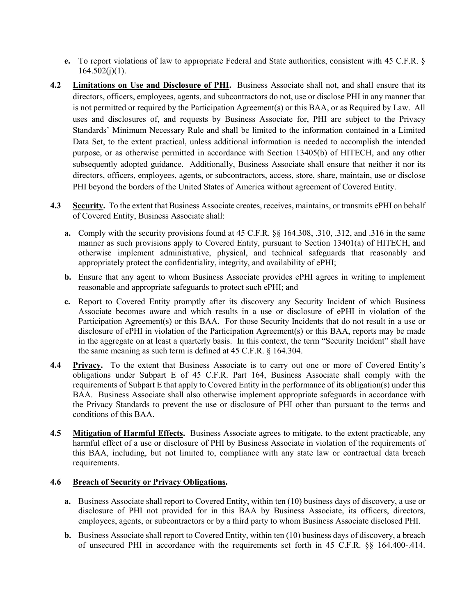- **e.** To report violations of law to appropriate Federal and State authorities, consistent with 45 C.F.R. §  $164.502(j)(1)$ .
- **4.2 Limitations on Use and Disclosure of PHI.** Business Associate shall not, and shall ensure that its directors, officers, employees, agents, and subcontractors do not, use or disclose PHI in any manner that is not permitted or required by the Participation Agreement(s) or this BAA, or as Required by Law. All uses and disclosures of, and requests by Business Associate for, PHI are subject to the Privacy Standards' Minimum Necessary Rule and shall be limited to the information contained in a Limited Data Set, to the extent practical, unless additional information is needed to accomplish the intended purpose, or as otherwise permitted in accordance with Section 13405(b) of HITECH, and any other subsequently adopted guidance. Additionally, Business Associate shall ensure that neither it nor its directors, officers, employees, agents, or subcontractors, access, store, share, maintain, use or disclose PHI beyond the borders of the United States of America without agreement of Covered Entity.
- **4.3 Security.** To the extent that Business Associate creates, receives, maintains, or transmits ePHI on behalf of Covered Entity, Business Associate shall:
	- **a.** Comply with the security provisions found at 45 C.F.R. §§ 164.308, .310, .312, and .316 in the same manner as such provisions apply to Covered Entity, pursuant to Section 13401(a) of HITECH, and otherwise implement administrative, physical, and technical safeguards that reasonably and appropriately protect the confidentiality, integrity, and availability of ePHI;
	- **b.** Ensure that any agent to whom Business Associate provides ePHI agrees in writing to implement reasonable and appropriate safeguards to protect such ePHI; and
	- **c.** Report to Covered Entity promptly after its discovery any Security Incident of which Business Associate becomes aware and which results in a use or disclosure of ePHI in violation of the Participation Agreement(s) or this BAA. For those Security Incidents that do not result in a use or disclosure of ePHI in violation of the Participation Agreement(s) or this BAA, reports may be made in the aggregate on at least a quarterly basis. In this context, the term "Security Incident" shall have the same meaning as such term is defined at 45 C.F.R. § 164.304.
- **4.4 Privacy.** To the extent that Business Associate is to carry out one or more of Covered Entity's obligations under Subpart E of 45 C.F.R. Part 164, Business Associate shall comply with the requirements of Subpart E that apply to Covered Entity in the performance of its obligation(s) under this BAA. Business Associate shall also otherwise implement appropriate safeguards in accordance with the Privacy Standards to prevent the use or disclosure of PHI other than pursuant to the terms and conditions of this BAA.
- **4.5 Mitigation of Harmful Effects.** Business Associate agrees to mitigate, to the extent practicable, any harmful effect of a use or disclosure of PHI by Business Associate in violation of the requirements of this BAA, including, but not limited to, compliance with any state law or contractual data breach requirements.

#### **4.6 Breach of Security or Privacy Obligations.**

- **a.** Business Associate shall report to Covered Entity, within ten (10) business days of discovery, a use or disclosure of PHI not provided for in this BAA by Business Associate, its officers, directors, employees, agents, or subcontractors or by a third party to whom Business Associate disclosed PHI.
- **b.** Business Associate shall report to Covered Entity, within ten (10) business days of discovery, a breach of unsecured PHI in accordance with the requirements set forth in 45 C.F.R. §§ 164.400-.414.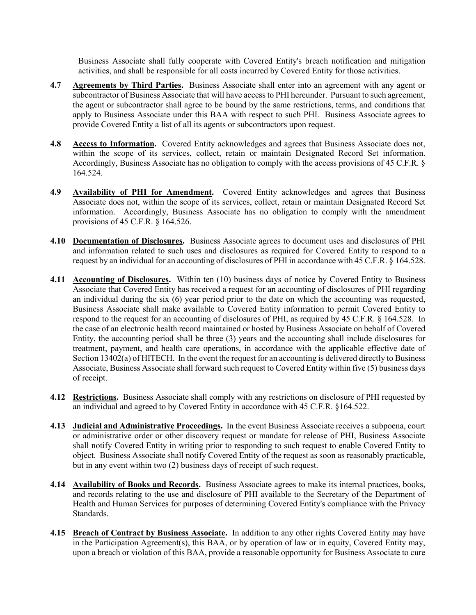Business Associate shall fully cooperate with Covered Entity's breach notification and mitigation activities, and shall be responsible for all costs incurred by Covered Entity for those activities.

- **4.7 Agreements by Third Parties.** Business Associate shall enter into an agreement with any agent or subcontractor of Business Associate that will have access to PHI hereunder. Pursuant to such agreement, the agent or subcontractor shall agree to be bound by the same restrictions, terms, and conditions that apply to Business Associate under this BAA with respect to such PHI. Business Associate agrees to provide Covered Entity a list of all its agents or subcontractors upon request.
- **4.8 Access to Information.** Covered Entity acknowledges and agrees that Business Associate does not, within the scope of its services, collect, retain or maintain Designated Record Set information. Accordingly, Business Associate has no obligation to comply with the access provisions of 45 C.F.R. § 164.524.
- **4.9 Availability of PHI for Amendment.** Covered Entity acknowledges and agrees that Business Associate does not, within the scope of its services, collect, retain or maintain Designated Record Set information. Accordingly, Business Associate has no obligation to comply with the amendment provisions of 45 C.F.R. § 164.526.
- **4.10 Documentation of Disclosures.** Business Associate agrees to document uses and disclosures of PHI and information related to such uses and disclosures as required for Covered Entity to respond to a request by an individual for an accounting of disclosures of PHI in accordance with 45 C.F.R. § 164.528.
- **4.11 Accounting of Disclosures.** Within ten (10) business days of notice by Covered Entity to Business Associate that Covered Entity has received a request for an accounting of disclosures of PHI regarding an individual during the six (6) year period prior to the date on which the accounting was requested, Business Associate shall make available to Covered Entity information to permit Covered Entity to respond to the request for an accounting of disclosures of PHI, as required by 45 C.F.R. § 164.528. In the case of an electronic health record maintained or hosted by Business Associate on behalf of Covered Entity, the accounting period shall be three (3) years and the accounting shall include disclosures for treatment, payment, and health care operations, in accordance with the applicable effective date of Section 13402(a) of HITECH. In the event the request for an accounting is delivered directly to Business Associate, Business Associate shall forward such request to Covered Entity within five (5) business days of receipt.
- **4.12 Restrictions.** Business Associate shall comply with any restrictions on disclosure of PHI requested by an individual and agreed to by Covered Entity in accordance with 45 C.F.R. §164.522.
- **4.13 Judicial and Administrative Proceedings.** In the event Business Associate receives a subpoena, court or administrative order or other discovery request or mandate for release of PHI, Business Associate shall notify Covered Entity in writing prior to responding to such request to enable Covered Entity to object. Business Associate shall notify Covered Entity of the request as soon as reasonably practicable, but in any event within two (2) business days of receipt of such request.
- **4.14 Availability of Books and Records.** Business Associate agrees to make its internal practices, books, and records relating to the use and disclosure of PHI available to the Secretary of the Department of Health and Human Services for purposes of determining Covered Entity's compliance with the Privacy Standards.
- **4.15 Breach of Contract by Business Associate.** In addition to any other rights Covered Entity may have in the Participation Agreement(s), this BAA, or by operation of law or in equity, Covered Entity may, upon a breach or violation of this BAA, provide a reasonable opportunity for Business Associate to cure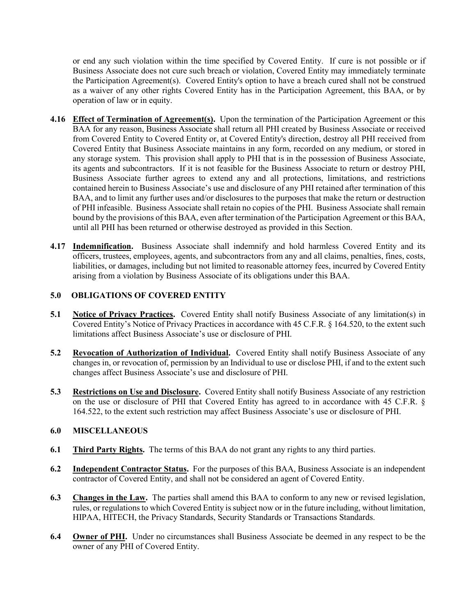or end any such violation within the time specified by Covered Entity. If cure is not possible or if Business Associate does not cure such breach or violation, Covered Entity may immediately terminate the Participation Agreement(s). Covered Entity's option to have a breach cured shall not be construed as a waiver of any other rights Covered Entity has in the Participation Agreement, this BAA, or by operation of law or in equity.

- **4.16 Effect of Termination of Agreement(s).** Upon the termination of the Participation Agreement or this BAA for any reason, Business Associate shall return all PHI created by Business Associate or received from Covered Entity to Covered Entity or, at Covered Entity's direction, destroy all PHI received from Covered Entity that Business Associate maintains in any form, recorded on any medium, or stored in any storage system. This provision shall apply to PHI that is in the possession of Business Associate, its agents and subcontractors. If it is not feasible for the Business Associate to return or destroy PHI, Business Associate further agrees to extend any and all protections, limitations, and restrictions contained herein to Business Associate's use and disclosure of any PHI retained after termination of this BAA, and to limit any further uses and/or disclosures to the purposes that make the return or destruction of PHI infeasible. Business Associate shall retain no copies of the PHI. Business Associate shall remain bound by the provisions of this BAA, even after termination of the Participation Agreement or this BAA, until all PHI has been returned or otherwise destroyed as provided in this Section.
- **4.17 Indemnification.** Business Associate shall indemnify and hold harmless Covered Entity and its officers, trustees, employees, agents, and subcontractors from any and all claims, penalties, fines, costs, liabilities, or damages, including but not limited to reasonable attorney fees, incurred by Covered Entity arising from a violation by Business Associate of its obligations under this BAA.

## **5.0 OBLIGATIONS OF COVERED ENTITY**

- **5.1 Notice of Privacy Practices.** Covered Entity shall notify Business Associate of any limitation(s) in Covered Entity's Notice of Privacy Practices in accordance with 45 C.F.R. § 164.520, to the extent such limitations affect Business Associate's use or disclosure of PHI.
- **5.2 Revocation of Authorization of Individual.** Covered Entity shall notify Business Associate of any changes in, or revocation of, permission by an Individual to use or disclose PHI, if and to the extent such changes affect Business Associate's use and disclosure of PHI.
- **5.3 Restrictions on Use and Disclosure.** Covered Entity shall notify Business Associate of any restriction on the use or disclosure of PHI that Covered Entity has agreed to in accordance with 45 C.F.R. § 164.522, to the extent such restriction may affect Business Associate's use or disclosure of PHI.

#### **6.0 MISCELLANEOUS**

- **6.1 Third Party Rights.** The terms of this BAA do not grant any rights to any third parties.
- **6.2 Independent Contractor Status.** For the purposes of this BAA, Business Associate is an independent contractor of Covered Entity, and shall not be considered an agent of Covered Entity.
- **6.3 Changes in the Law.** The parties shall amend this BAA to conform to any new or revised legislation, rules, or regulations to which Covered Entity is subject now or in the future including, without limitation, HIPAA, HITECH, the Privacy Standards, Security Standards or Transactions Standards.
- **6.4 Owner of PHI.** Under no circumstances shall Business Associate be deemed in any respect to be the owner of any PHI of Covered Entity.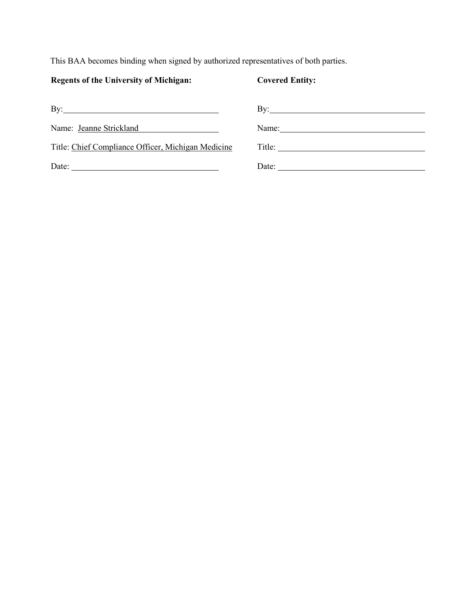This BAA becomes binding when signed by authorized representatives of both parties.

# **Regents of the University of Michigan: Covered Entity:**

| By:                                                | By: $\qquad \qquad$                                                                                                                                                                                                                                                                                                   |
|----------------------------------------------------|-----------------------------------------------------------------------------------------------------------------------------------------------------------------------------------------------------------------------------------------------------------------------------------------------------------------------|
| Name: Jeanne Strickland                            | Name: $\frac{1}{2}$ $\frac{1}{2}$ $\frac{1}{2}$ $\frac{1}{2}$ $\frac{1}{2}$ $\frac{1}{2}$ $\frac{1}{2}$ $\frac{1}{2}$ $\frac{1}{2}$ $\frac{1}{2}$ $\frac{1}{2}$ $\frac{1}{2}$ $\frac{1}{2}$ $\frac{1}{2}$ $\frac{1}{2}$ $\frac{1}{2}$ $\frac{1}{2}$ $\frac{1}{2}$ $\frac{1}{2}$ $\frac{1}{2}$ $\frac{1}{2}$ $\frac{1$ |
| Title: Chief Compliance Officer, Michigan Medicine | Title: $\qquad \qquad$                                                                                                                                                                                                                                                                                                |
| Date:                                              | Date:                                                                                                                                                                                                                                                                                                                 |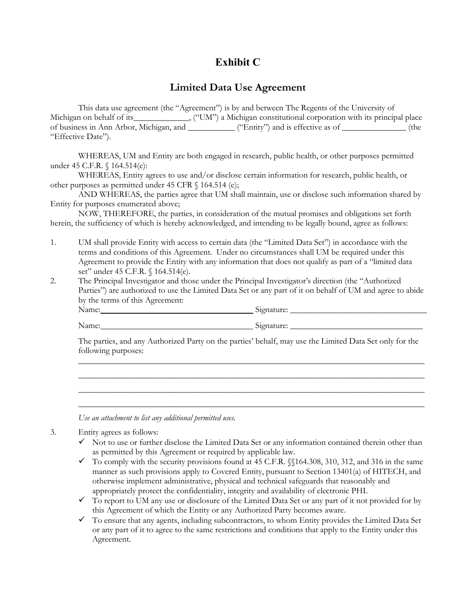# **Exhibit C**

# **Limited Data Use Agreement**

This data use agreement (the "Agreement") is by and between The Regents of the University of Michigan on behalf of its\_\_\_\_\_\_\_\_\_\_\_\_, ("UM") a Michigan constitutional corporation with its principal place of business in Ann Arbor, Michigan, and \_\_\_\_\_\_\_\_\_\_\_\_\_\_ ("Entity") and is effective as of \_\_\_\_\_\_\_\_\_\_\_\_\_\_ (the "Effective Date").

WHEREAS, UM and Entity are both engaged in research, public health, or other purposes permitted under 45 C.F.R. § 164.514(e):

WHEREAS, Entity agrees to use and/or disclose certain information for research, public health, or other purposes as permitted under 45 CFR § 164.514 (e);

AND WHEREAS, the parties agree that UM shall maintain, use or disclose such information shared by Entity for purposes enumerated above;

NOW, THEREFORE, the parties, in consideration of the mutual promises and obligations set forth herein, the sufficiency of which is hereby acknowledged, and intending to be legally bound, agree as follows:

- 1. UM shall provide Entity with access to certain data (the "Limited Data Set") in accordance with the terms and conditions of this Agreement. Under no circumstances shall UM be required under this Agreement to provide the Entity with any information that does not qualify as part of a "limited data set" under 45 C.F.R. § 164.514(e).
- 2. The Principal Investigator and those under the Principal Investigator's direction (the "Authorized Parties") are authorized to use the Limited Data Set or any part of it on behalf of UM and agree to abide by the terms of this Agreement: Name: Signature: \_\_\_\_\_\_\_\_\_\_\_\_\_\_\_\_\_\_\_\_\_\_\_\_\_\_\_\_\_\_\_\_

Name: Signature: \_\_\_\_\_\_\_\_\_\_\_\_\_\_\_\_\_\_\_\_\_\_\_\_\_\_\_\_\_\_\_

The parties, and any Authorized Party on the parties' behalf, may use the Limited Data Set only for the following purposes:

\_\_\_\_\_\_\_\_\_\_\_\_\_\_\_\_\_\_\_\_\_\_\_\_\_\_\_\_\_\_\_\_\_\_\_\_\_\_\_\_\_\_\_\_\_\_\_\_\_\_\_\_\_\_\_\_\_\_\_\_\_\_\_\_\_\_\_\_\_\_\_\_\_\_\_\_\_\_\_\_\_ \_\_\_\_\_\_\_\_\_\_\_\_\_\_\_\_\_\_\_\_\_\_\_\_\_\_\_\_\_\_\_\_\_\_\_\_\_\_\_\_\_\_\_\_\_\_\_\_\_\_\_\_\_\_\_\_\_\_\_\_\_\_\_\_\_\_\_\_\_\_\_\_\_\_\_\_\_\_\_\_\_ \_\_\_\_\_\_\_\_\_\_\_\_\_\_\_\_\_\_\_\_\_\_\_\_\_\_\_\_\_\_\_\_\_\_\_\_\_\_\_\_\_\_\_\_\_\_\_\_\_\_\_\_\_\_\_\_\_\_\_\_\_\_\_\_\_\_\_\_\_\_\_\_\_\_\_\_\_\_\_\_\_ \_\_\_\_\_\_\_\_\_\_\_\_\_\_\_\_\_\_\_\_\_\_\_\_\_\_\_\_\_\_\_\_\_\_\_\_\_\_\_\_\_\_\_\_\_\_\_\_\_\_\_\_\_\_\_\_\_\_\_\_\_\_\_\_\_\_\_\_\_\_\_\_\_\_\_\_\_\_\_\_\_

*Use an attachment to list any additional permitted uses.* 

3. Entity agrees as follows:

- $\checkmark$  Not to use or further disclose the Limited Data Set or any information contained therein other than as permitted by this Agreement or required by applicable law.
- $\checkmark$  To comply with the security provisions found at 45 C.F.R. §§164.308, 310, 312, and 316 in the same manner as such provisions apply to Covered Entity, pursuant to Section 13401(a) of HITECH, and otherwise implement administrative, physical and technical safeguards that reasonably and appropriately protect the confidentiality, integrity and availability of electronic PHI.
- $\checkmark$  To report to UM any use or disclosure of the Limited Data Set or any part of it not provided for by this Agreement of which the Entity or any Authorized Party becomes aware.
- $\checkmark$  To ensure that any agents, including subcontractors, to whom Entity provides the Limited Data Set or any part of it to agree to the same restrictions and conditions that apply to the Entity under this Agreement.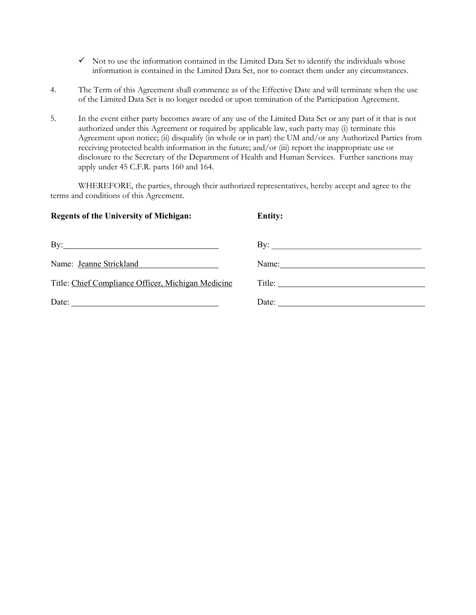- $\checkmark$  Not to use the information contained in the Limited Data Set to identify the individuals whose information is contained in the Limited Data Set, nor to contact them under any circumstances.
- 4. The Term of this Agreement shall commence as of the Effective Date and will terminate when the use of the Limited Data Set is no longer needed or upon termination of the Participation Agreement.
- 5. In the event either party becomes aware of any use of the Limited Data Set or any part of it that is not authorized under this Agreement or required by applicable law, such party may (i) terminate this Agreement upon notice; (ii) disqualify (in whole or in part) the UM and/or any Authorized Parties from receiving protected health information in the future; and/or (iii) report the inappropriate use or disclosure to the Secretary of the Department of Health and Human Services. Further sanctions may apply under 45 C.F.R. parts 160 and 164.

WHEREFORE, the parties, through their authorized representatives, hereby accept and agree to the terms and conditions of this Agreement.

| <b>Regents of the University of Michigan:</b>                               | <b>Entity:</b>                                                          |
|-----------------------------------------------------------------------------|-------------------------------------------------------------------------|
| $\mathbf{B}$ y:                                                             | By: $\qquad \qquad$                                                     |
| Name: Jeanne Strickland<br><u> 1980 - Jan Barbara Barbara, prima popula</u> | Name: $\frac{1}{\sqrt{1-\frac{1}{2}}}\left\vert \frac{1}{2}\right\vert$ |
| Title: Chief Compliance Officer, Michigan Medicine                          |                                                                         |
|                                                                             | Date: $\qquad \qquad$                                                   |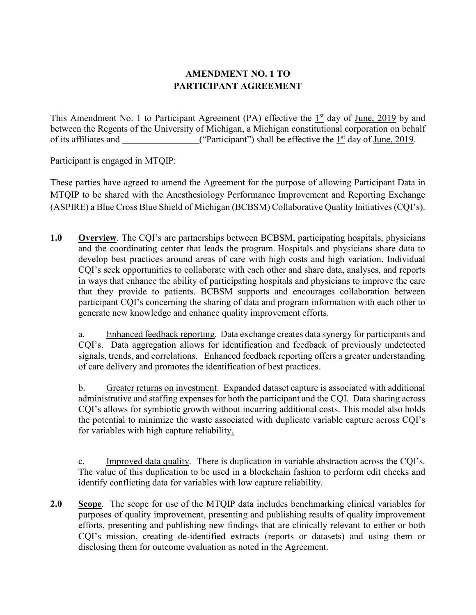# **AMENDMENT NO. 1 TO PARTICIPANT AGREEMENT**

This Amendment No. 1 to Participant Agreement (PA) effective the  $1<sup>st</sup>$  day of June, 2019 by and between the Regents of the University of Michigan, a Michigan constitutional corporation on behalf of its affiliates and  $($ "Participant") shall be effective the  $1<sup>st</sup>$  day of June, 2019.

Participant is engaged in MTQIP:

These parties have agreed to amend the Agreement for the purpose of allowing Participant Data in MTQIP to be shared with the Anesthesiology Performance Improvement and Reporting Exchange (ASPIRE) a Blue Cross Blue Shield of Michigan (BCBSM) Collaborative Quality Initiatives (CQI's).

**1.0 Overview**. The CQI's are partnerships between BCBSM, participating hospitals, physicians and the coordinating center that leads the program. Hospitals and physicians share data to develop best practices around areas of care with high costs and high variation. Individual CQI's seek opportunities to collaborate with each other and share data, analyses, and reports in ways that enhance the ability of participating hospitals and physicians to improve the care that they provide to patients. BCBSM supports and encourages collaboration between participant CQI's concerning the sharing of data and program information with each other to generate new knowledge and enhance quality improvement efforts.

a. Enhanced feedback reporting. Data exchange creates data synergy for participants and CQI's. Data aggregation allows for identification and feedback of previously undetected signals, trends, and correlations. Enhanced feedback reporting offers a greater understanding of care delivery and promotes the identification of best practices.

b. Greater returns on investment. Expanded dataset capture is associated with additional administrative and staffing expenses for both the participant and the CQI. Data sharing across CQI's allows for symbiotic growth without incurring additional costs. This model also holds the potential to minimize the waste associated with duplicate variable capture across CQI's for variables with high capture reliability.

c. Improved data quality. There is duplication in variable abstraction across the CQI's. The value of this duplication to be used in a blockchain fashion to perform edit checks and identify conflicting data for variables with low capture reliability.

**2.0 Scope**.The scope for use of the MTQIP data includes benchmarking clinical variables for purposes of quality improvement, presenting and publishing results of quality improvement efforts, presenting and publishing new findings that are clinically relevant to either or both CQI's mission, creating de-identified extracts (reports or datasets) and using them or disclosing them for outcome evaluation as noted in the Agreement.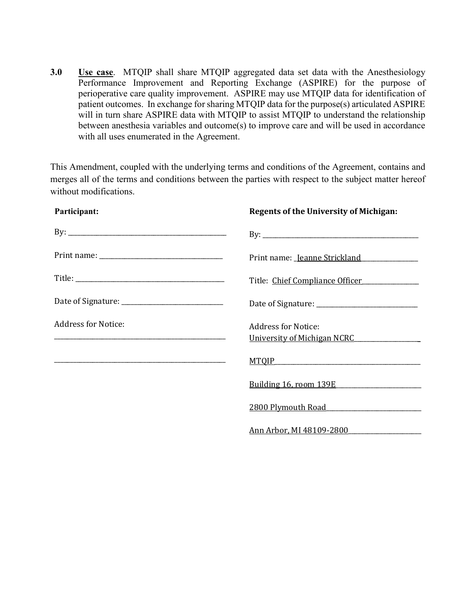**3.0 Use case**. MTQIP shall share MTQIP aggregated data set data with the Anesthesiology Performance Improvement and Reporting Exchange (ASPIRE) for the purpose of perioperative care quality improvement. ASPIRE may use MTQIP data for identification of patient outcomes. In exchange for sharing MTQIP data for the purpose(s) articulated ASPIRE will in turn share ASPIRE data with MTQIP to assist MTQIP to understand the relationship between anesthesia variables and outcome(s) to improve care and will be used in accordance with all uses enumerated in the Agreement.

This Amendment, coupled with the underlying terms and conditions of the Agreement, contains and merges all of the terms and conditions between the parties with respect to the subject matter hereof without modifications.

| Participant:                                                                                                     | <b>Regents of the University of Michigan:</b>             |
|------------------------------------------------------------------------------------------------------------------|-----------------------------------------------------------|
|                                                                                                                  |                                                           |
|                                                                                                                  | Print name: Jeanne Strickland                             |
|                                                                                                                  | Title: Chief Compliance Officer                           |
|                                                                                                                  |                                                           |
| <b>Address for Notice:</b>                                                                                       | <b>Address for Notice:</b><br>University of Michigan NCRC |
| and the control of the control of the control of the control of the control of the control of the control of the | $MTQIP$ and $MTQIP$                                       |
|                                                                                                                  | Building 16, room 139E                                    |
|                                                                                                                  | <u>2800 Plymouth Road</u> 2800 Plymouth Road              |
|                                                                                                                  | Ann Arbor, MI 48109-2800                                  |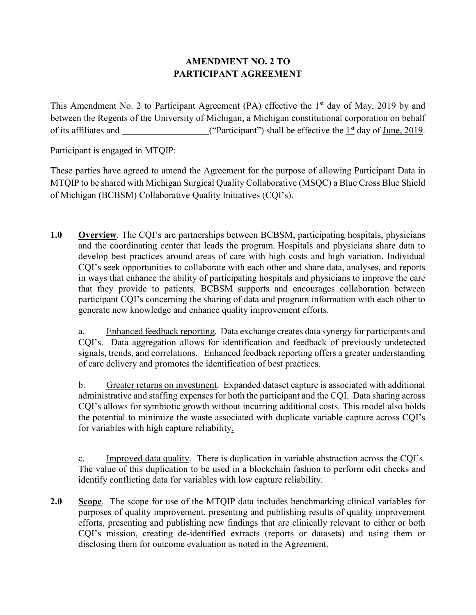# **AMENDMENT NO. 2 TO PARTICIPANT AGREEMENT**

This Amendment No. 2 to Participant Agreement (PA) effective the  $1<sup>st</sup>$  day of <u>May, 2019</u> by and between the Regents of the University of Michigan, a Michigan constitutional corporation on behalf of its affiliates and \_\_\_\_\_\_\_\_\_\_\_\_\_\_\_\_\_\_\_\_\_("Participant") shall be effective the  $1<sup>st</sup>$  day of June, 2019.

Participant is engaged in MTQIP:

These parties have agreed to amend the Agreement for the purpose of allowing Participant Data in MTQIP to be shared with Michigan Surgical Quality Collaborative (MSQC) a Blue Cross Blue Shield of Michigan (BCBSM) Collaborative Quality Initiatives (CQI's).

**1.0 Overview**. The CQI's are partnerships between BCBSM, participating hospitals, physicians and the coordinating center that leads the program. Hospitals and physicians share data to develop best practices around areas of care with high costs and high variation. Individual CQI's seek opportunities to collaborate with each other and share data, analyses, and reports in ways that enhance the ability of participating hospitals and physicians to improve the care that they provide to patients. BCBSM supports and encourages collaboration between participant CQI's concerning the sharing of data and program information with each other to generate new knowledge and enhance quality improvement efforts.

a. Enhanced feedback reporting. Data exchange creates data synergy for participants and CQI's. Data aggregation allows for identification and feedback of previously undetected signals, trends, and correlations. Enhanced feedback reporting offers a greater understanding of care delivery and promotes the identification of best practices.

b. Greater returns on investment. Expanded dataset capture is associated with additional administrative and staffing expenses for both the participant and the CQI. Data sharing across CQI's allows for symbiotic growth without incurring additional costs. This model also holds the potential to minimize the waste associated with duplicate variable capture across CQI's for variables with high capture reliability.

c. Improved data quality. There is duplication in variable abstraction across the CQI's. The value of this duplication to be used in a blockchain fashion to perform edit checks and identify conflicting data for variables with low capture reliability.

**2.0 Scope**.The scope for use of the MTQIP data includes benchmarking clinical variables for purposes of quality improvement, presenting and publishing results of quality improvement efforts, presenting and publishing new findings that are clinically relevant to either or both CQI's mission, creating de-identified extracts (reports or datasets) and using them or disclosing them for outcome evaluation as noted in the Agreement.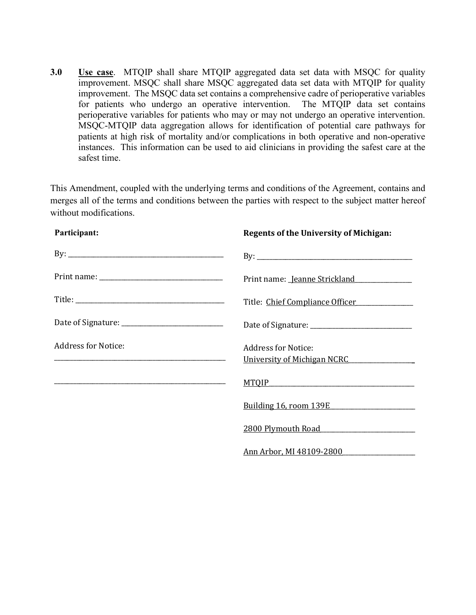**3.0 Use case**. MTQIP shall share MTQIP aggregated data set data with MSQC for quality improvement. MSQC shall share MSQC aggregated data set data with MTQIP for quality improvement. The MSQC data set contains a comprehensive cadre of perioperative variables for patients who undergo an operative intervention. The MTQIP data set contains perioperative variables for patients who may or may not undergo an operative intervention. MSQC-MTQIP data aggregation allows for identification of potential care pathways for patients at high risk of mortality and/or complications in both operative and non-operative instances. This information can be used to aid clinicians in providing the safest care at the safest time.

This Amendment, coupled with the underlying terms and conditions of the Agreement, contains and merges all of the terms and conditions between the parties with respect to the subject matter hereof without modifications.

| Participant:                 | <b>Regents of the University of Michigan:</b>             |
|------------------------------|-----------------------------------------------------------|
| By: $\overline{\phantom{a}}$ |                                                           |
|                              | Print name: Jeanne Strickland                             |
|                              | Title: Chief Compliance Officer                           |
|                              |                                                           |
| <b>Address for Notice:</b>   | <b>Address for Notice:</b><br>University of Michigan NCRC |
|                              | <u>MTQIP</u>                                              |
|                              | <u>Building 16, room 139E</u>                             |
|                              | <u>2800 Plymouth Road</u>                                 |
|                              | Ann Arbor, MI 48109-2800                                  |